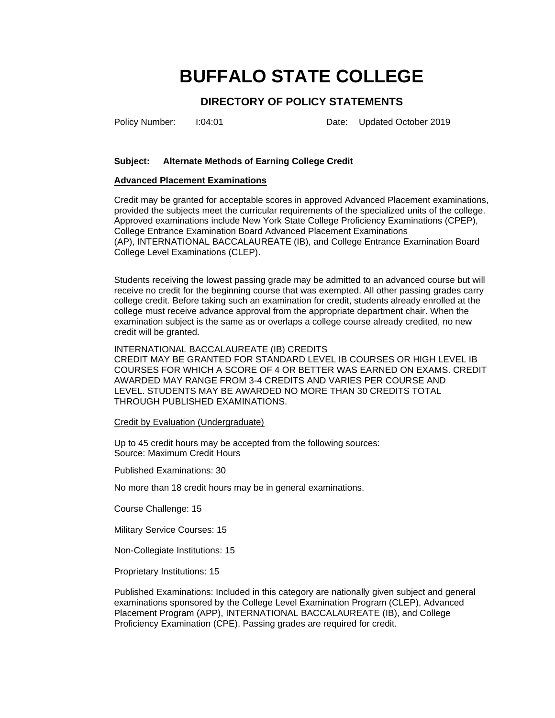# **BUFFALO STATE COLLEGE**

## **DIRECTORY OF POLICY STATEMENTS**

Policy Number: I:04:01 Date: Updated October 2019

## **Subject: Alternate Methods of Earning College Credit**

#### **Advanced Placement Examinations**

Credit may be granted for acceptable scores in approved Advanced Placement examinations, provided the subjects meet the curricular requirements of the specialized units of the college. Approved examinations include New York State College Proficiency Examinations (CPEP), College Entrance Examination Board Advanced Placement Examinations (AP), INTERNATIONAL BACCALAUREATE (IB), and College Entrance Examination Board College Level Examinations (CLEP).

Students receiving the lowest passing grade may be admitted to an advanced course but will receive no credit for the beginning course that was exempted. All other passing grades carry college credit. Before taking such an examination for credit, students already enrolled at the college must receive advance approval from the appropriate department chair. When the examination subject is the same as or overlaps a college course already credited, no new credit will be granted.

#### INTERNATIONAL BACCALAUREATE (IB) CREDITS

CREDIT MAY BE GRANTED FOR STANDARD LEVEL IB COURSES OR HIGH LEVEL IB COURSES FOR WHICH A SCORE OF 4 OR BETTER WAS EARNED ON EXAMS. CREDIT AWARDED MAY RANGE FROM 3-4 CREDITS AND VARIES PER COURSE AND LEVEL. STUDENTS MAY BE AWARDED NO MORE THAN 30 CREDITS TOTAL THROUGH PUBLISHED EXAMINATIONS.

#### Credit by Evaluation (Undergraduate)

Up to 45 credit hours may be accepted from the following sources: Source: Maximum Credit Hours

Published Examinations: 30

No more than 18 credit hours may be in general examinations.

Course Challenge: 15

Military Service Courses: 15

Non-Collegiate Institutions: 15

Proprietary Institutions: 15

Published Examinations: Included in this category are nationally given subject and general examinations sponsored by the College Level Examination Program (CLEP), Advanced Placement Program (APP), INTERNATIONAL BACCALAUREATE (IB), and College Proficiency Examination (CPE). Passing grades are required for credit.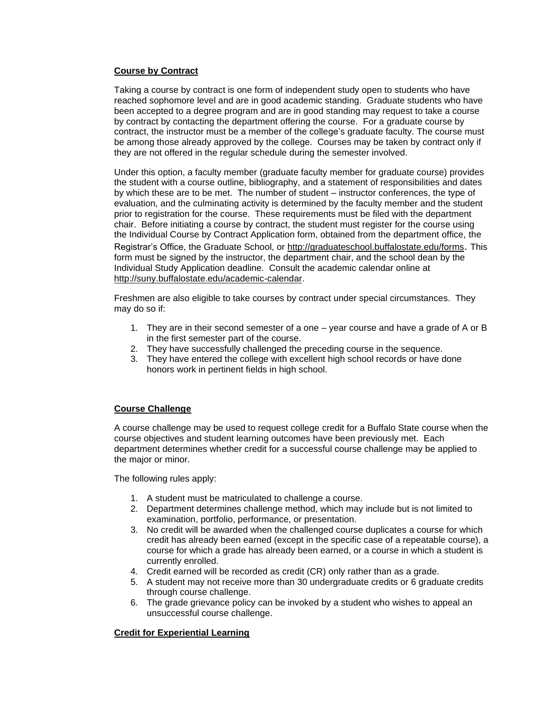## **Course by Contract**

Taking a course by contract is one form of independent study open to students who have reached sophomore level and are in good academic standing. Graduate students who have been accepted to a degree program and are in good standing may request to take a course by contract by contacting the department offering the course. For a graduate course by contract, the instructor must be a member of the college's graduate faculty. The course must be among those already approved by the college. Courses may be taken by contract only if they are not offered in the regular schedule during the semester involved.

Under this option, a faculty member (graduate faculty member for graduate course) provides the student with a course outline, bibliography, and a statement of responsibilities and dates by which these are to be met. The number of student – instructor conferences, the type of evaluation, and the culminating activity is determined by the faculty member and the student prior to registration for the course. These requirements must be filed with the department chair. Before initiating a course by contract, the student must register for the course using the Individual Course by Contract Application form, obtained from the department office, the Registrar's Office, the Graduate School, or<http://graduateschool.buffalostate.edu/forms>. This form must be signed by the instructor, the department chair, and the school dean by the Individual Study Application deadline. Consult the academic calendar online at [http://suny.buffalostate.edu/academic-calendar.](http://suny.buffalostate.edu/academic-calendar)

Freshmen are also eligible to take courses by contract under special circumstances. They may do so if:

- 1. They are in their second semester of a one year course and have a grade of A or B in the first semester part of the course.
- 2. They have successfully challenged the preceding course in the sequence.
- 3. They have entered the college with excellent high school records or have done honors work in pertinent fields in high school.

## **Course Challenge**

A course challenge may be used to request college credit for a Buffalo State course when the course objectives and student learning outcomes have been previously met. Each department determines whether credit for a successful course challenge may be applied to the major or minor.

The following rules apply:

- 1. A student must be matriculated to challenge a course.
- 2. Department determines challenge method, which may include but is not limited to examination, portfolio, performance, or presentation.
- 3. No credit will be awarded when the challenged course duplicates a course for which credit has already been earned (except in the specific case of a repeatable course), a course for which a grade has already been earned, or a course in which a student is currently enrolled.
- 4. Credit earned will be recorded as credit (CR) only rather than as a grade.
- 5. A student may not receive more than 30 undergraduate credits or 6 graduate credits through course challenge.
- 6. The grade grievance policy can be invoked by a student who wishes to appeal an unsuccessful course challenge.

#### **Credit for Experiential Learning**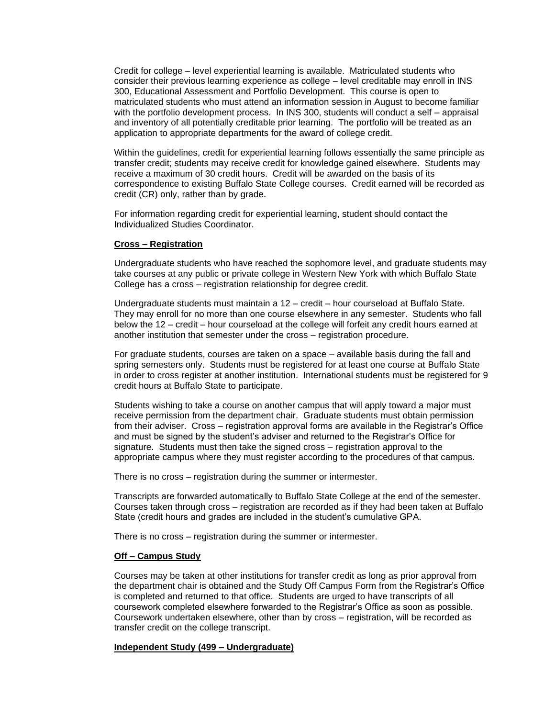Credit for college – level experiential learning is available. Matriculated students who consider their previous learning experience as college – level creditable may enroll in INS 300, Educational Assessment and Portfolio Development. This course is open to matriculated students who must attend an information session in August to become familiar with the portfolio development process. In INS 300, students will conduct a self – appraisal and inventory of all potentially creditable prior learning. The portfolio will be treated as an application to appropriate departments for the award of college credit.

Within the guidelines, credit for experiential learning follows essentially the same principle as transfer credit; students may receive credit for knowledge gained elsewhere. Students may receive a maximum of 30 credit hours. Credit will be awarded on the basis of its correspondence to existing Buffalo State College courses. Credit earned will be recorded as credit (CR) only, rather than by grade.

For information regarding credit for experiential learning, student should contact the Individualized Studies Coordinator.

#### **Cross – Registration**

Undergraduate students who have reached the sophomore level, and graduate students may take courses at any public or private college in Western New York with which Buffalo State College has a cross – registration relationship for degree credit.

Undergraduate students must maintain a 12 – credit – hour courseload at Buffalo State. They may enroll for no more than one course elsewhere in any semester. Students who fall below the 12 – credit – hour courseload at the college will forfeit any credit hours earned at another institution that semester under the cross – registration procedure.

For graduate students, courses are taken on a space – available basis during the fall and spring semesters only. Students must be registered for at least one course at Buffalo State in order to cross register at another institution. International students must be registered for 9 credit hours at Buffalo State to participate.

Students wishing to take a course on another campus that will apply toward a major must receive permission from the department chair. Graduate students must obtain permission from their adviser. Cross – registration approval forms are available in the Registrar's Office and must be signed by the student's adviser and returned to the Registrar's Office for signature. Students must then take the signed cross – registration approval to the appropriate campus where they must register according to the procedures of that campus.

There is no cross – registration during the summer or intermester.

Transcripts are forwarded automatically to Buffalo State College at the end of the semester. Courses taken through cross – registration are recorded as if they had been taken at Buffalo State (credit hours and grades are included in the student's cumulative GPA.

There is no cross – registration during the summer or intermester.

#### **Off – Campus Study**

Courses may be taken at other institutions for transfer credit as long as prior approval from the department chair is obtained and the Study Off Campus Form from the Registrar's Office is completed and returned to that office. Students are urged to have transcripts of all coursework completed elsewhere forwarded to the Registrar's Office as soon as possible. Coursework undertaken elsewhere, other than by cross – registration, will be recorded as transfer credit on the college transcript.

#### **Independent Study (499 – Undergraduate)**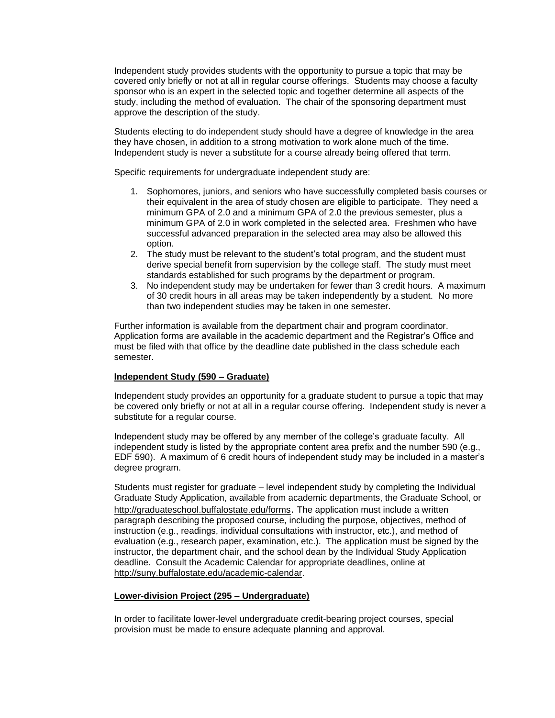Independent study provides students with the opportunity to pursue a topic that may be covered only briefly or not at all in regular course offerings. Students may choose a faculty sponsor who is an expert in the selected topic and together determine all aspects of the study, including the method of evaluation. The chair of the sponsoring department must approve the description of the study.

Students electing to do independent study should have a degree of knowledge in the area they have chosen, in addition to a strong motivation to work alone much of the time. Independent study is never a substitute for a course already being offered that term.

Specific requirements for undergraduate independent study are:

- 1. Sophomores, juniors, and seniors who have successfully completed basis courses or their equivalent in the area of study chosen are eligible to participate. They need a minimum GPA of 2.0 and a minimum GPA of 2.0 the previous semester, plus a minimum GPA of 2.0 in work completed in the selected area. Freshmen who have successful advanced preparation in the selected area may also be allowed this option.
- 2. The study must be relevant to the student's total program, and the student must derive special benefit from supervision by the college staff. The study must meet standards established for such programs by the department or program.
- 3. No independent study may be undertaken for fewer than 3 credit hours. A maximum of 30 credit hours in all areas may be taken independently by a student. No more than two independent studies may be taken in one semester.

Further information is available from the department chair and program coordinator. Application forms are available in the academic department and the Registrar's Office and must be filed with that office by the deadline date published in the class schedule each semester.

#### **Independent Study (590 – Graduate)**

Independent study provides an opportunity for a graduate student to pursue a topic that may be covered only briefly or not at all in a regular course offering. Independent study is never a substitute for a regular course.

Independent study may be offered by any member of the college's graduate faculty. All independent study is listed by the appropriate content area prefix and the number 590 (e.g., EDF 590). A maximum of 6 credit hours of independent study may be included in a master's degree program.

Students must register for graduate – level independent study by completing the Individual Graduate Study Application, available from academic departments, the Graduate School, or <http://graduateschool.buffalostate.edu/forms>. The application must include a written paragraph describing the proposed course, including the purpose, objectives, method of instruction (e.g., readings, individual consultations with instructor, etc.), and method of evaluation (e.g., research paper, examination, etc.). The application must be signed by the instructor, the department chair, and the school dean by the Individual Study Application deadline. Consult the Academic Calendar for appropriate deadlines, online at [http://suny.buffalostate.edu/academic-calendar.](http://suny.buffalostate.edu/academic-calendar)

#### **Lower-division Project (295 – Undergraduate)**

In order to facilitate lower-level undergraduate credit-bearing project courses, special provision must be made to ensure adequate planning and approval.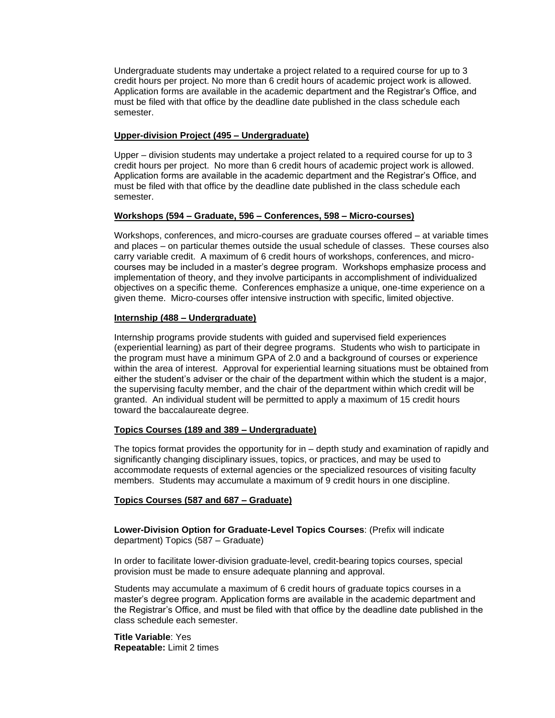Undergraduate students may undertake a project related to a required course for up to 3 credit hours per project. No more than 6 credit hours of academic project work is allowed. Application forms are available in the academic department and the Registrar's Office, and must be filed with that office by the deadline date published in the class schedule each semester.

### **Upper-division Project (495 – Undergraduate)**

Upper – division students may undertake a project related to a required course for up to 3 credit hours per project. No more than 6 credit hours of academic project work is allowed. Application forms are available in the academic department and the Registrar's Office, and must be filed with that office by the deadline date published in the class schedule each semester.

## **Workshops (594 – Graduate, 596 – Conferences, 598 – Micro-courses)**

Workshops, conferences, and micro-courses are graduate courses offered – at variable times and places – on particular themes outside the usual schedule of classes. These courses also carry variable credit. A maximum of 6 credit hours of workshops, conferences, and microcourses may be included in a master's degree program. Workshops emphasize process and implementation of theory, and they involve participants in accomplishment of individualized objectives on a specific theme. Conferences emphasize a unique, one-time experience on a given theme. Micro-courses offer intensive instruction with specific, limited objective.

## **Internship (488 – Undergraduate)**

Internship programs provide students with guided and supervised field experiences (experiential learning) as part of their degree programs. Students who wish to participate in the program must have a minimum GPA of 2.0 and a background of courses or experience within the area of interest. Approval for experiential learning situations must be obtained from either the student's adviser or the chair of the department within which the student is a major, the supervising faculty member, and the chair of the department within which credit will be granted. An individual student will be permitted to apply a maximum of 15 credit hours toward the baccalaureate degree.

#### **Topics Courses (189 and 389 – Undergraduate)**

The topics format provides the opportunity for in – depth study and examination of rapidly and significantly changing disciplinary issues, topics, or practices, and may be used to accommodate requests of external agencies or the specialized resources of visiting faculty members. Students may accumulate a maximum of 9 credit hours in one discipline.

#### **Topics Courses (587 and 687 – Graduate)**

**Lower-Division Option for Graduate-Level Topics Courses**: (Prefix will indicate department) Topics (587 – Graduate)

In order to facilitate lower-division graduate-level, credit-bearing topics courses, special provision must be made to ensure adequate planning and approval.

Students may accumulate a maximum of 6 credit hours of graduate topics courses in a master's degree program. Application forms are available in the academic department and the Registrar's Office, and must be filed with that office by the deadline date published in the class schedule each semester.

**Title Variable**: Yes **Repeatable:** Limit 2 times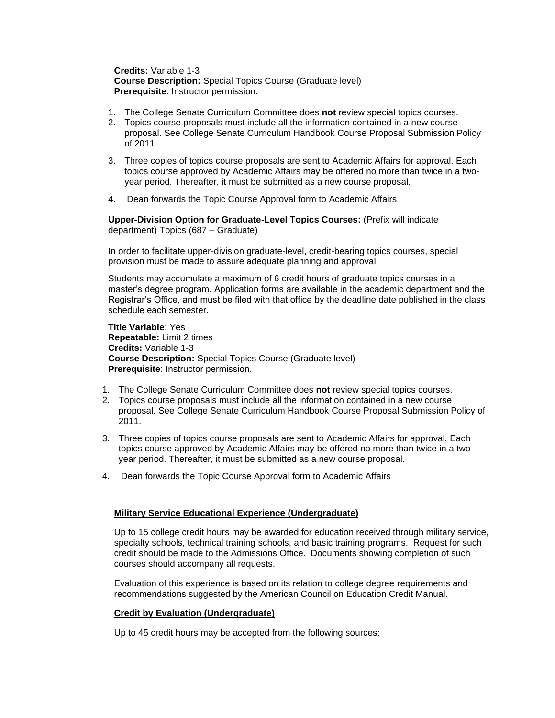**Credits:** Variable 1-3 **Course Description:** Special Topics Course (Graduate level) **Prerequisite**: Instructor permission.

- 1. The College Senate Curriculum Committee does **not** review special topics courses.
- 2. Topics course proposals must include all the information contained in a new course proposal. See College Senate Curriculum Handbook Course Proposal Submission Policy of 2011.
- 3. Three copies of topics course proposals are sent to Academic Affairs for approval. Each topics course approved by Academic Affairs may be offered no more than twice in a twoyear period. Thereafter, it must be submitted as a new course proposal.
- 4. Dean forwards the Topic Course Approval form to Academic Affairs

**Upper-Division Option for Graduate-Level Topics Courses:** (Prefix will indicate department) Topics (687 – Graduate)

In order to facilitate upper-division graduate-level, credit-bearing topics courses, special provision must be made to assure adequate planning and approval.

Students may accumulate a maximum of 6 credit hours of graduate topics courses in a master's degree program. Application forms are available in the academic department and the Registrar's Office, and must be filed with that office by the deadline date published in the class schedule each semester.

**Title Variable**: Yes **Repeatable:** Limit 2 times **Credits:** Variable 1-3 **Course Description:** Special Topics Course (Graduate level) **Prerequisite**: Instructor permission.

- 1. The College Senate Curriculum Committee does **not** review special topics courses.
- 2. Topics course proposals must include all the information contained in a new course proposal. See College Senate Curriculum Handbook Course Proposal Submission Policy of 2011.
- 3. Three copies of topics course proposals are sent to Academic Affairs for approval. Each topics course approved by Academic Affairs may be offered no more than twice in a twoyear period. Thereafter, it must be submitted as a new course proposal.
- 4. Dean forwards the Topic Course Approval form to Academic Affairs

## **Military Service Educational Experience (Undergraduate)**

Up to 15 college credit hours may be awarded for education received through military service, specialty schools, technical training schools, and basic training programs. Request for such credit should be made to the Admissions Office. Documents showing completion of such courses should accompany all requests.

Evaluation of this experience is based on its relation to college degree requirements and recommendations suggested by the American Council on Education Credit Manual.

## **Credit by Evaluation (Undergraduate)**

Up to 45 credit hours may be accepted from the following sources: